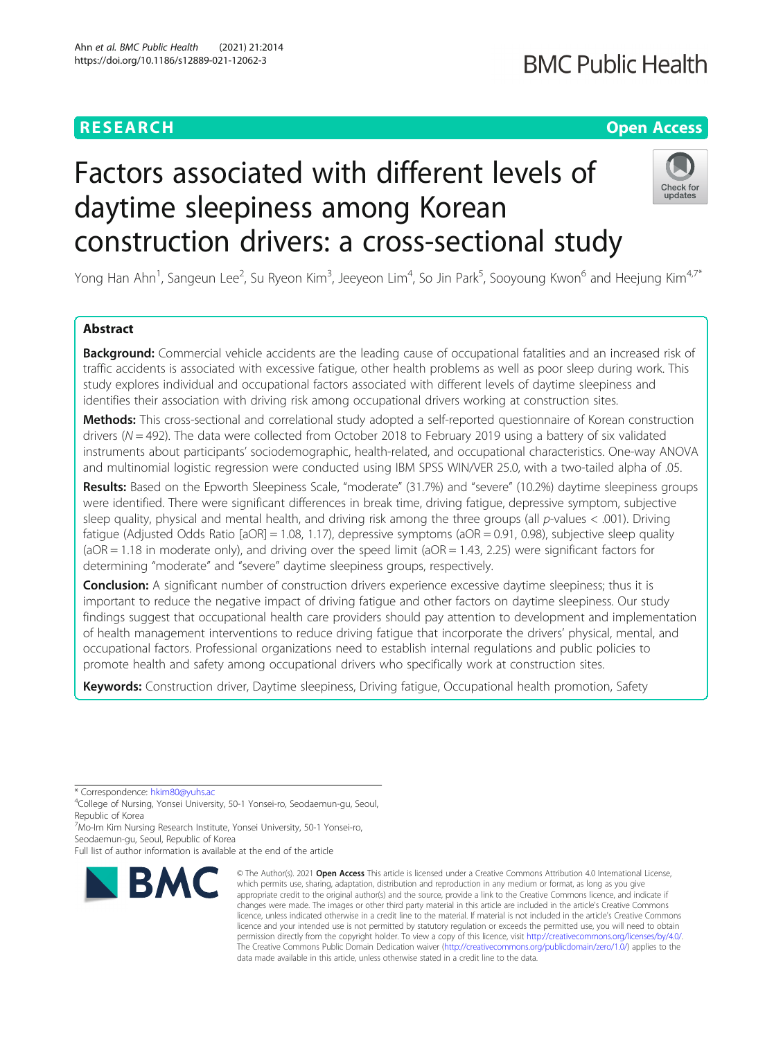# **RESEARCH CHEAR CHEAR CHEAR CHEAR CHEAR CHEAR CHEAR CHEAR CHEAR CHEAR CHEAR CHEAR CHEAR CHEAR CHEAR CHEAR CHEAR**

# **BMC Public Health**

# Factors associated with different levels of daytime sleepiness among Korean construction drivers: a cross-sectional study



Yong Han Ahn<sup>1</sup>, Sangeun Lee<sup>2</sup>, Su Ryeon Kim<sup>3</sup>, Jeeyeon Lim<sup>4</sup>, So Jin Park<sup>5</sup>, Sooyoung Kwon<sup>6</sup> and Heejung Kim<sup>4,7\*</sup>

# Abstract

**Background:** Commercial vehicle accidents are the leading cause of occupational fatalities and an increased risk of traffic accidents is associated with excessive fatigue, other health problems as well as poor sleep during work. This study explores individual and occupational factors associated with different levels of daytime sleepiness and identifies their association with driving risk among occupational drivers working at construction sites.

Methods: This cross-sectional and correlational study adopted a self-reported questionnaire of Korean construction drivers (N = 492). The data were collected from October 2018 to February 2019 using a battery of six validated instruments about participants' sociodemographic, health-related, and occupational characteristics. One-way ANOVA and multinomial logistic regression were conducted using IBM SPSS WIN/VER 25.0, with a two-tailed alpha of .05.

Results: Based on the Epworth Sleepiness Scale, "moderate" (31.7%) and "severe" (10.2%) daytime sleepiness groups were identified. There were significant differences in break time, driving fatigue, depressive symptom, subjective sleep quality, physical and mental health, and driving risk among the three groups (all p-values  $<$  .001). Driving fatigue (Adjusted Odds Ratio [aOR] = 1.08, 1.17), depressive symptoms (aOR = 0.91, 0.98), subjective sleep quality  $(aOR = 1.18$  in moderate only), and driving over the speed limit  $(aOR = 1.43, 2.25)$  were significant factors for determining "moderate" and "severe" daytime sleepiness groups, respectively.

**Conclusion:** A significant number of construction drivers experience excessive daytime sleepiness; thus it is important to reduce the negative impact of driving fatigue and other factors on daytime sleepiness. Our study findings suggest that occupational health care providers should pay attention to development and implementation of health management interventions to reduce driving fatigue that incorporate the drivers' physical, mental, and occupational factors. Professional organizations need to establish internal regulations and public policies to promote health and safety among occupational drivers who specifically work at construction sites.

Keywords: Construction driver, Daytime sleepiness, Driving fatigue, Occupational health promotion, Safety

\* Correspondence: [hkim80@yuhs.ac](mailto:hkim80@yuhs.ac) <sup>4</sup>

<sup>4</sup>College of Nursing, Yonsei University, 50-1 Yonsei-ro, Seodaemun-gu, Seoul, Republic of Korea

<sup>7</sup>Mo-Im Kim Nursing Research Institute, Yonsei University, 50-1 Yonsei-ro, Seodaemun-gu, Seoul, Republic of Korea

Full list of author information is available at the end of the article



<sup>©</sup> The Author(s), 2021 **Open Access** This article is licensed under a Creative Commons Attribution 4.0 International License, which permits use, sharing, adaptation, distribution and reproduction in any medium or format, as long as you give appropriate credit to the original author(s) and the source, provide a link to the Creative Commons licence, and indicate if changes were made. The images or other third party material in this article are included in the article's Creative Commons licence, unless indicated otherwise in a credit line to the material. If material is not included in the article's Creative Commons licence and your intended use is not permitted by statutory regulation or exceeds the permitted use, you will need to obtain permission directly from the copyright holder. To view a copy of this licence, visit [http://creativecommons.org/licenses/by/4.0/.](http://creativecommons.org/licenses/by/4.0/) The Creative Commons Public Domain Dedication waiver [\(http://creativecommons.org/publicdomain/zero/1.0/](http://creativecommons.org/publicdomain/zero/1.0/)) applies to the data made available in this article, unless otherwise stated in a credit line to the data.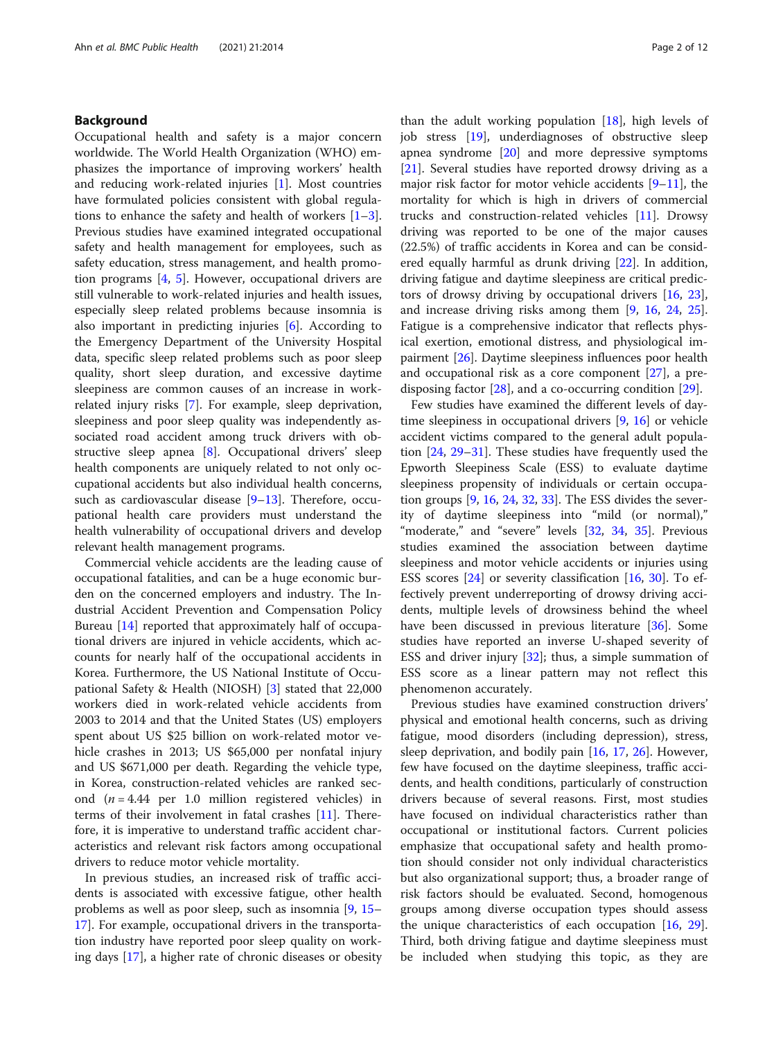# Background

Occupational health and safety is a major concern worldwide. The World Health Organization (WHO) emphasizes the importance of improving workers' health and reducing work-related injuries [[1\]](#page-9-0). Most countries have formulated policies consistent with global regulations to enhance the safety and health of workers [\[1](#page-9-0)–[3](#page-9-0)]. Previous studies have examined integrated occupational safety and health management for employees, such as safety education, stress management, and health promotion programs [[4,](#page-9-0) [5\]](#page-9-0). However, occupational drivers are still vulnerable to work-related injuries and health issues, especially sleep related problems because insomnia is also important in predicting injuries [\[6\]](#page-10-0). According to the Emergency Department of the University Hospital data, specific sleep related problems such as poor sleep quality, short sleep duration, and excessive daytime sleepiness are common causes of an increase in workrelated injury risks [[7\]](#page-10-0). For example, sleep deprivation, sleepiness and poor sleep quality was independently associated road accident among truck drivers with obstructive sleep apnea [\[8](#page-10-0)]. Occupational drivers' sleep health components are uniquely related to not only occupational accidents but also individual health concerns, such as cardiovascular disease [[9](#page-10-0)-[13](#page-10-0)]. Therefore, occupational health care providers must understand the health vulnerability of occupational drivers and develop relevant health management programs.

Commercial vehicle accidents are the leading cause of occupational fatalities, and can be a huge economic burden on the concerned employers and industry. The Industrial Accident Prevention and Compensation Policy Bureau [\[14](#page-10-0)] reported that approximately half of occupational drivers are injured in vehicle accidents, which accounts for nearly half of the occupational accidents in Korea. Furthermore, the US National Institute of Occupational Safety & Health (NIOSH) [[3](#page-9-0)] stated that 22,000 workers died in work-related vehicle accidents from 2003 to 2014 and that the United States (US) employers spent about US \$25 billion on work-related motor vehicle crashes in 2013; US \$65,000 per nonfatal injury and US \$671,000 per death. Regarding the vehicle type, in Korea, construction-related vehicles are ranked second  $(n = 4.44$  per 1.0 million registered vehicles) in terms of their involvement in fatal crashes [\[11](#page-10-0)]. Therefore, it is imperative to understand traffic accident characteristics and relevant risk factors among occupational drivers to reduce motor vehicle mortality.

In previous studies, an increased risk of traffic accidents is associated with excessive fatigue, other health problems as well as poor sleep, such as insomnia [[9,](#page-10-0) [15](#page-10-0)– [17\]](#page-10-0). For example, occupational drivers in the transportation industry have reported poor sleep quality on working days [\[17](#page-10-0)], a higher rate of chronic diseases or obesity

than the adult working population  $[18]$ , high levels of job stress [[19](#page-10-0)], underdiagnoses of obstructive sleep apnea syndrome [\[20\]](#page-10-0) and more depressive symptoms [[21\]](#page-10-0). Several studies have reported drowsy driving as a major risk factor for motor vehicle accidents [\[9](#page-10-0)–[11](#page-10-0)], the mortality for which is high in drivers of commercial trucks and construction-related vehicles [[11](#page-10-0)]. Drowsy driving was reported to be one of the major causes (22.5%) of traffic accidents in Korea and can be considered equally harmful as drunk driving [\[22](#page-10-0)]. In addition, driving fatigue and daytime sleepiness are critical predictors of drowsy driving by occupational drivers [\[16](#page-10-0), [23](#page-10-0)], and increase driving risks among them [\[9,](#page-10-0) [16](#page-10-0), [24,](#page-10-0) [25](#page-10-0)]. Fatigue is a comprehensive indicator that reflects physical exertion, emotional distress, and physiological impairment [\[26\]](#page-10-0). Daytime sleepiness influences poor health and occupational risk as a core component [\[27](#page-10-0)], a predisposing factor [[28\]](#page-10-0), and a co-occurring condition [\[29](#page-10-0)].

Few studies have examined the different levels of daytime sleepiness in occupational drivers [\[9](#page-10-0), [16\]](#page-10-0) or vehicle accident victims compared to the general adult population [[24](#page-10-0), [29](#page-10-0)–[31\]](#page-10-0). These studies have frequently used the Epworth Sleepiness Scale (ESS) to evaluate daytime sleepiness propensity of individuals or certain occupation groups [[9,](#page-10-0) [16](#page-10-0), [24](#page-10-0), [32,](#page-10-0) [33\]](#page-10-0). The ESS divides the severity of daytime sleepiness into "mild (or normal)," "moderate," and "severe" levels [[32,](#page-10-0) [34](#page-10-0), [35\]](#page-10-0). Previous studies examined the association between daytime sleepiness and motor vehicle accidents or injuries using ESS scores  $[24]$  $[24]$  or severity classification  $[16, 30]$  $[16, 30]$  $[16, 30]$ . To effectively prevent underreporting of drowsy driving accidents, multiple levels of drowsiness behind the wheel have been discussed in previous literature [\[36](#page-10-0)]. Some studies have reported an inverse U-shaped severity of ESS and driver injury  $[32]$  $[32]$  $[32]$ ; thus, a simple summation of ESS score as a linear pattern may not reflect this phenomenon accurately.

Previous studies have examined construction drivers' physical and emotional health concerns, such as driving fatigue, mood disorders (including depression), stress, sleep deprivation, and bodily pain  $[16, 17, 26]$  $[16, 17, 26]$  $[16, 17, 26]$  $[16, 17, 26]$  $[16, 17, 26]$  $[16, 17, 26]$  $[16, 17, 26]$ . However, few have focused on the daytime sleepiness, traffic accidents, and health conditions, particularly of construction drivers because of several reasons. First, most studies have focused on individual characteristics rather than occupational or institutional factors. Current policies emphasize that occupational safety and health promotion should consider not only individual characteristics but also organizational support; thus, a broader range of risk factors should be evaluated. Second, homogenous groups among diverse occupation types should assess the unique characteristics of each occupation  $[16, 29]$  $[16, 29]$  $[16, 29]$  $[16, 29]$  $[16, 29]$ . Third, both driving fatigue and daytime sleepiness must be included when studying this topic, as they are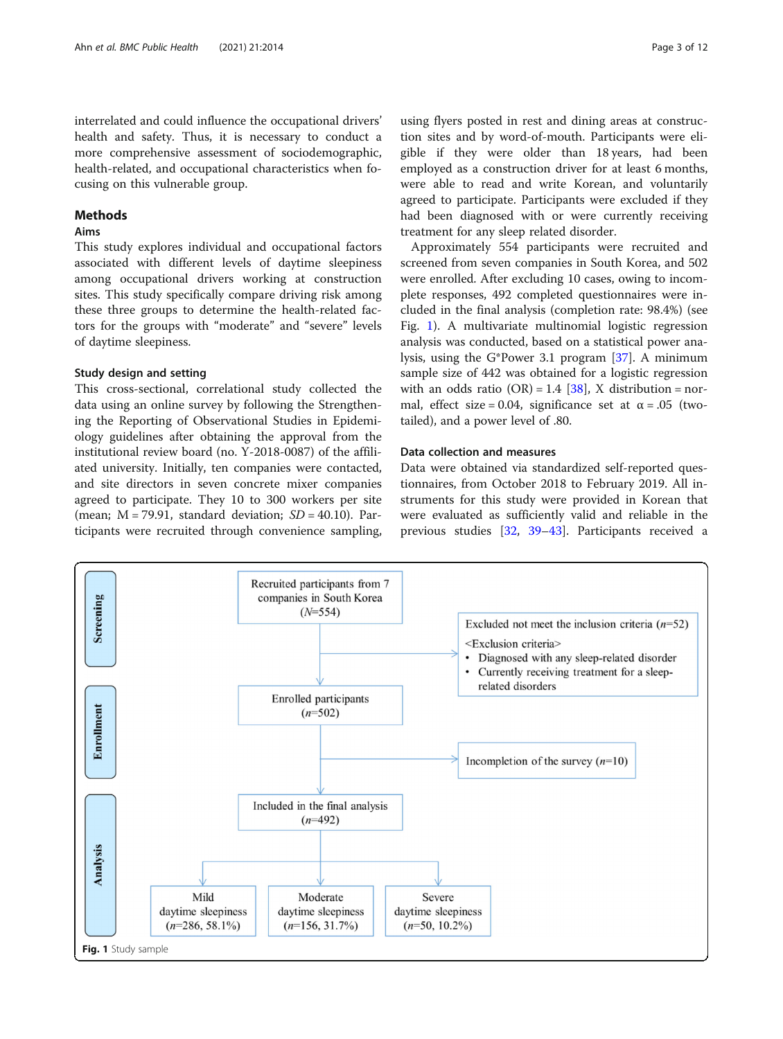cusing on this vulnerable group.

# Methods

# Aims

This study explores individual and occupational factors associated with different levels of daytime sleepiness among occupational drivers working at construction sites. This study specifically compare driving risk among these three groups to determine the health-related factors for the groups with "moderate" and "severe" levels of daytime sleepiness.

health-related, and occupational characteristics when fo-

### Study design and setting

This cross-sectional, correlational study collected the data using an online survey by following the Strengthening the Reporting of Observational Studies in Epidemiology guidelines after obtaining the approval from the institutional review board (no. Y-2018-0087) of the affiliated university. Initially, ten companies were contacted, and site directors in seven concrete mixer companies agreed to participate. They 10 to 300 workers per site (mean;  $M = 79.91$ , standard deviation;  $SD = 40.10$ ). Participants were recruited through convenience sampling,

using flyers posted in rest and dining areas at construction sites and by word-of-mouth. Participants were eligible if they were older than 18 years, had been employed as a construction driver for at least 6 months, were able to read and write Korean, and voluntarily agreed to participate. Participants were excluded if they had been diagnosed with or were currently receiving treatment for any sleep related disorder.

Approximately 554 participants were recruited and screened from seven companies in South Korea, and 502 were enrolled. After excluding 10 cases, owing to incomplete responses, 492 completed questionnaires were included in the final analysis (completion rate: 98.4%) (see Fig. 1). A multivariate multinomial logistic regression analysis was conducted, based on a statistical power analysis, using the G\*Power 3.1 program [\[37](#page-10-0)]. A minimum sample size of 442 was obtained for a logistic regression with an odds ratio  $(OR) = 1.4$  [\[38\]](#page-10-0), X distribution = normal, effect size = 0.04, significance set at  $\alpha$  = .05 (twotailed), and a power level of .80.

# Data collection and measures

Data were obtained via standardized self-reported questionnaires, from October 2018 to February 2019. All instruments for this study were provided in Korean that were evaluated as sufficiently valid and reliable in the previous studies [[32](#page-10-0), [39](#page-10-0)–[43\]](#page-10-0). Participants received a

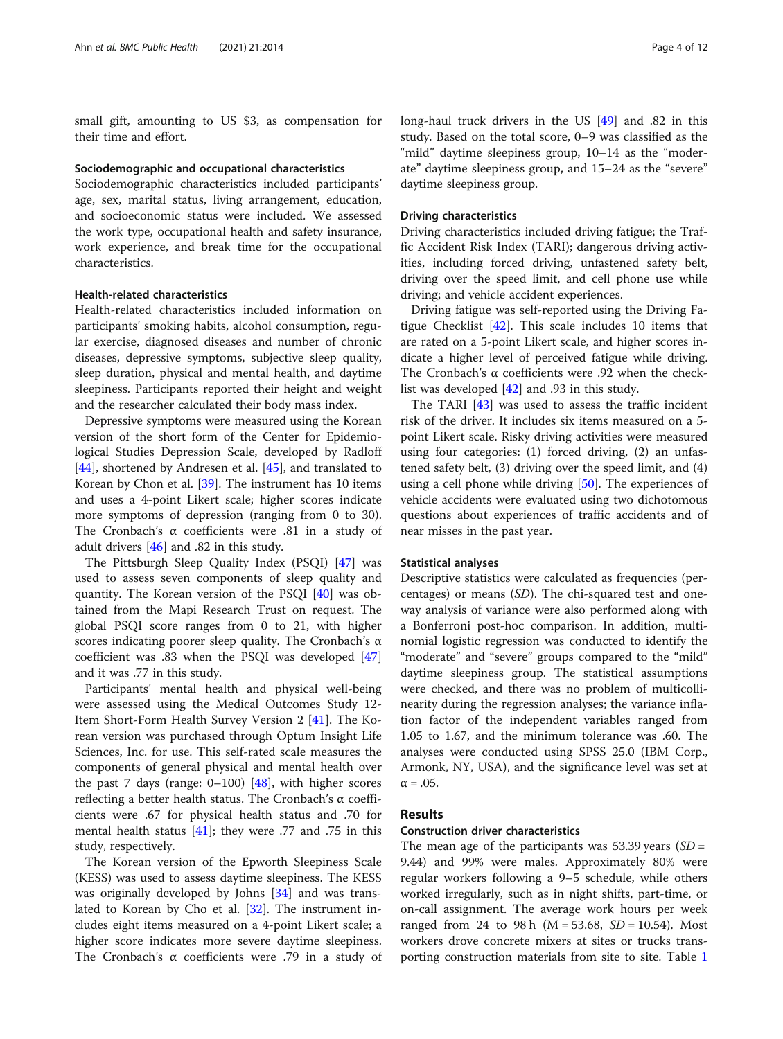small gift, amounting to US \$3, as compensation for their time and effort.

# Sociodemographic and occupational characteristics

Sociodemographic characteristics included participants' age, sex, marital status, living arrangement, education, and socioeconomic status were included. We assessed the work type, occupational health and safety insurance, work experience, and break time for the occupational characteristics.

## Health-related characteristics

Health-related characteristics included information on participants' smoking habits, alcohol consumption, regular exercise, diagnosed diseases and number of chronic diseases, depressive symptoms, subjective sleep quality, sleep duration, physical and mental health, and daytime sleepiness. Participants reported their height and weight and the researcher calculated their body mass index.

Depressive symptoms were measured using the Korean version of the short form of the Center for Epidemiological Studies Depression Scale, developed by Radloff [[44\]](#page-10-0), shortened by Andresen et al. [[45](#page-10-0)], and translated to Korean by Chon et al. [\[39](#page-10-0)]. The instrument has 10 items and uses a 4-point Likert scale; higher scores indicate more symptoms of depression (ranging from 0 to 30). The Cronbach's α coefficients were .81 in a study of adult drivers [\[46](#page-10-0)] and .82 in this study.

The Pittsburgh Sleep Quality Index (PSQI) [[47\]](#page-11-0) was used to assess seven components of sleep quality and quantity. The Korean version of the PSQI [[40\]](#page-10-0) was obtained from the Mapi Research Trust on request. The global PSQI score ranges from 0 to 21, with higher scores indicating poorer sleep quality. The Cronbach's  $\alpha$ coefficient was .83 when the PSQI was developed [[47](#page-11-0)] and it was .77 in this study.

Participants' mental health and physical well-being were assessed using the Medical Outcomes Study 12- Item Short-Form Health Survey Version 2 [\[41](#page-10-0)]. The Korean version was purchased through Optum Insight Life Sciences, Inc. for use. This self-rated scale measures the components of general physical and mental health over the past 7 days (range:  $0-100$ ) [[48\]](#page-11-0), with higher scores reflecting a better health status. The Cronbach's α coefficients were .67 for physical health status and .70 for mental health status [[41\]](#page-10-0); they were .77 and .75 in this study, respectively.

The Korean version of the Epworth Sleepiness Scale (KESS) was used to assess daytime sleepiness. The KESS was originally developed by Johns [\[34](#page-10-0)] and was translated to Korean by Cho et al. [[32\]](#page-10-0). The instrument includes eight items measured on a 4-point Likert scale; a higher score indicates more severe daytime sleepiness. The Cronbach's α coefficients were .79 in a study of long-haul truck drivers in the US [\[49\]](#page-11-0) and .82 in this study. Based on the total score, 0–9 was classified as the "mild" daytime sleepiness group, 10–14 as the "moderate" daytime sleepiness group, and 15–24 as the "severe" daytime sleepiness group.

#### Driving characteristics

Driving characteristics included driving fatigue; the Traffic Accident Risk Index (TARI); dangerous driving activities, including forced driving, unfastened safety belt, driving over the speed limit, and cell phone use while driving; and vehicle accident experiences.

Driving fatigue was self-reported using the Driving Fatigue Checklist [\[42](#page-10-0)]. This scale includes 10 items that are rated on a 5-point Likert scale, and higher scores indicate a higher level of perceived fatigue while driving. The Cronbach's α coefficients were .92 when the checklist was developed [[42\]](#page-10-0) and .93 in this study.

The TARI [[43](#page-10-0)] was used to assess the traffic incident risk of the driver. It includes six items measured on a 5 point Likert scale. Risky driving activities were measured using four categories: (1) forced driving, (2) an unfastened safety belt, (3) driving over the speed limit, and (4) using a cell phone while driving [\[50](#page-11-0)]. The experiences of vehicle accidents were evaluated using two dichotomous questions about experiences of traffic accidents and of near misses in the past year.

#### Statistical analyses

Descriptive statistics were calculated as frequencies (percentages) or means (SD). The chi-squared test and oneway analysis of variance were also performed along with a Bonferroni post-hoc comparison. In addition, multinomial logistic regression was conducted to identify the "moderate" and "severe" groups compared to the "mild" daytime sleepiness group. The statistical assumptions were checked, and there was no problem of multicollinearity during the regression analyses; the variance inflation factor of the independent variables ranged from 1.05 to 1.67, and the minimum tolerance was .60. The analyses were conducted using SPSS 25.0 (IBM Corp., Armonk, NY, USA), and the significance level was set at  $\alpha = .05$ .

### Results

#### Construction driver characteristics

The mean age of the participants was 53.39 years  $(SD =$ 9.44) and 99% were males. Approximately 80% were regular workers following a 9–5 schedule, while others worked irregularly, such as in night shifts, part-time, or on-call assignment. The average work hours per week ranged from 24 to 98 h ( $M = 53.68$ ,  $SD = 10.54$ ). Most workers drove concrete mixers at sites or trucks transporting construction materials from site to site. Table [1](#page-4-0)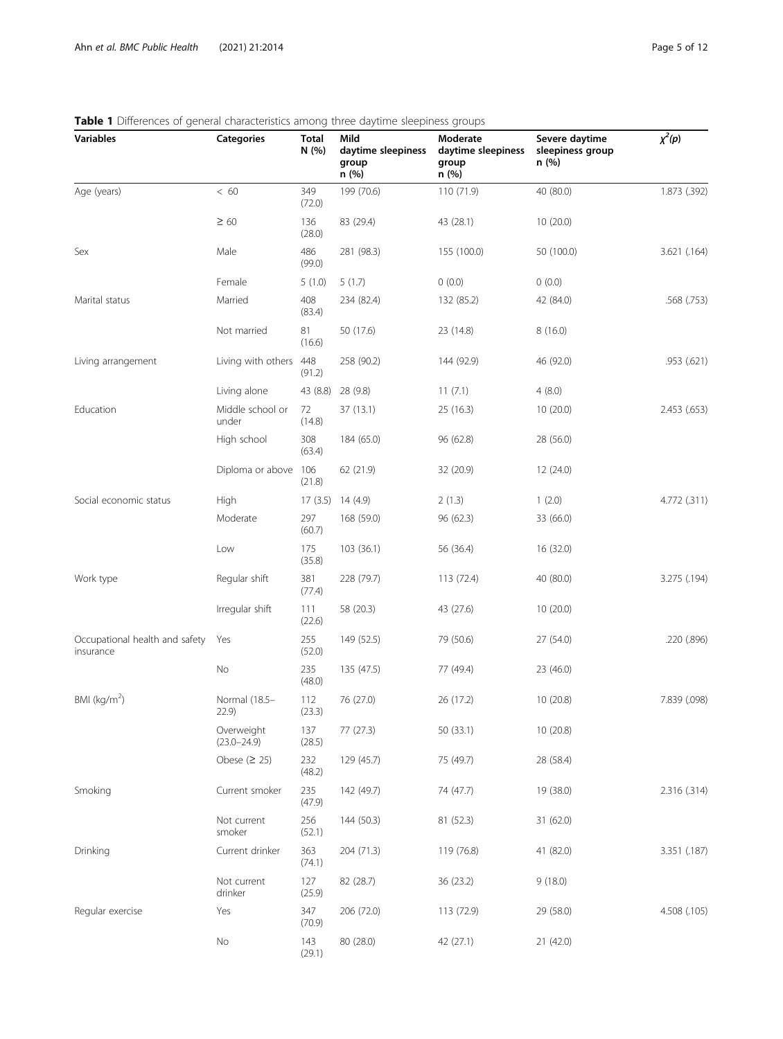| • • Bindrenees or general enaracteristics among timed daytime sideplifess groups<br><b>Variables</b> | <b>Categories</b>             | Total<br>N (%) | Mild<br>daytime sleepiness<br>group<br>n (%) | Moderate<br>daytime sleepiness<br>group<br>n (%) | Severe daytime<br>sleepiness group<br>n (%) | $\chi^2(p)$  |
|------------------------------------------------------------------------------------------------------|-------------------------------|----------------|----------------------------------------------|--------------------------------------------------|---------------------------------------------|--------------|
| Age (years)                                                                                          | < 60                          | 349<br>(72.0)  | 199 (70.6)                                   | 110 (71.9)                                       | 40 (80.0)                                   | 1.873 (.392) |
|                                                                                                      | $\geq 60$                     | 136<br>(28.0)  | 83 (29.4)                                    | 43 (28.1)                                        | 10 (20.0)                                   |              |
| Sex                                                                                                  | Male                          | 486<br>(99.0)  | 281 (98.3)                                   | 155 (100.0)                                      | 50 (100.0)                                  | 3.621 (.164) |
|                                                                                                      | Female                        | 5(1.0)         | 5(1.7)                                       | 0(0.0)                                           | 0(0.0)                                      |              |
| Marital status                                                                                       | Married                       | 408<br>(83.4)  | 234 (82.4)                                   | 132 (85.2)                                       | 42 (84.0)                                   | .568 (.753)  |
|                                                                                                      | Not married                   | 81<br>(16.6)   | 50 (17.6)                                    | 23 (14.8)                                        | 8(16.0)                                     |              |
| Living arrangement                                                                                   | Living with others            | 448<br>(91.2)  | 258 (90.2)                                   | 144 (92.9)                                       | 46 (92.0)                                   | .953(.621)   |
|                                                                                                      | Living alone                  | 43 (8.8)       | 28 (9.8)                                     | 11(7.1)                                          | 4(8.0)                                      |              |
| Education                                                                                            | Middle school or<br>under     | 72<br>(14.8)   | 37(13.1)                                     | 25 (16.3)                                        | 10(20.0)                                    | 2.453 (.653) |
|                                                                                                      | High school                   | 308<br>(63.4)  | 184 (65.0)                                   | 96 (62.8)                                        | 28 (56.0)                                   |              |
|                                                                                                      | Diploma or above              | 106<br>(21.8)  | 62 (21.9)                                    | 32 (20.9)                                        | 12 (24.0)                                   |              |
| Social economic status                                                                               | High                          |                | 17 (3.5) 14 (4.9)                            | 2(1.3)                                           | 1(2.0)                                      | 4.772 (.311) |
|                                                                                                      | Moderate                      | 297<br>(60.7)  | 168 (59.0)                                   | 96(62.3)                                         | 33 (66.0)                                   |              |
|                                                                                                      | Low                           | 175<br>(35.8)  | 103 (36.1)                                   | 56 (36.4)                                        | 16 (32.0)                                   |              |
| Work type                                                                                            | Regular shift                 | 381<br>(77.4)  | 228 (79.7)                                   | 113 (72.4)                                       | 40 (80.0)                                   | 3.275 (.194) |
|                                                                                                      | Irregular shift               | 111<br>(22.6)  | 58 (20.3)                                    | 43 (27.6)                                        | 10(20.0)                                    |              |
| Occupational health and safety<br>insurance                                                          | Yes                           | 255<br>(52.0)  | 149 (52.5)                                   | 79 (50.6)                                        | 27 (54.0)                                   | .220 (.896)  |
|                                                                                                      | No                            | 235<br>(48.0)  | 135 (47.5)                                   | 77 (49.4)                                        | 23 (46.0)                                   |              |
| BMI ( $\text{kg/m}^2$ )                                                                              | Normal (18.5-<br>22.9         | 112<br>(23.3)  | 76 (27.0)                                    | 26 (17.2)                                        | 10 (20.8)                                   | 7.839 (.098) |
|                                                                                                      | Overweight<br>$(23.0 - 24.9)$ | 137<br>(28.5)  | 77 (27.3)                                    | 50 (33.1)                                        | 10 (20.8)                                   |              |
|                                                                                                      | Obese $(2 25)$                | 232<br>(48.2)  | 129 (45.7)                                   | 75 (49.7)                                        | 28 (58.4)                                   |              |
| Smoking                                                                                              | Current smoker                | 235<br>(47.9)  | 142 (49.7)                                   | 74 (47.7)                                        | 19 (38.0)                                   | 2.316 (.314) |
|                                                                                                      | Not current<br>smoker         | 256<br>(52.1)  | 144 (50.3)                                   | 81 (52.3)                                        | 31 (62.0)                                   |              |
| Drinking                                                                                             | Current drinker               | 363<br>(74.1)  | 204 (71.3)                                   | 119 (76.8)                                       | 41 (82.0)                                   | 3.351 (.187) |
|                                                                                                      | Not current<br>drinker        | 127<br>(25.9)  | 82 (28.7)                                    | 36 (23.2)                                        | 9(18.0)                                     |              |
| Regular exercise                                                                                     | Yes                           | 347<br>(70.9)  | 206 (72.0)                                   | 113 (72.9)                                       | 29 (58.0)                                   | 4.508 (.105) |
|                                                                                                      | $\rm No$                      | 143<br>(29.1)  | 80 (28.0)                                    | 42 (27.1)                                        | 21(42.0)                                    |              |

# <span id="page-4-0"></span>Table 1 Differences of general characteristics among three daytime sleepiness groups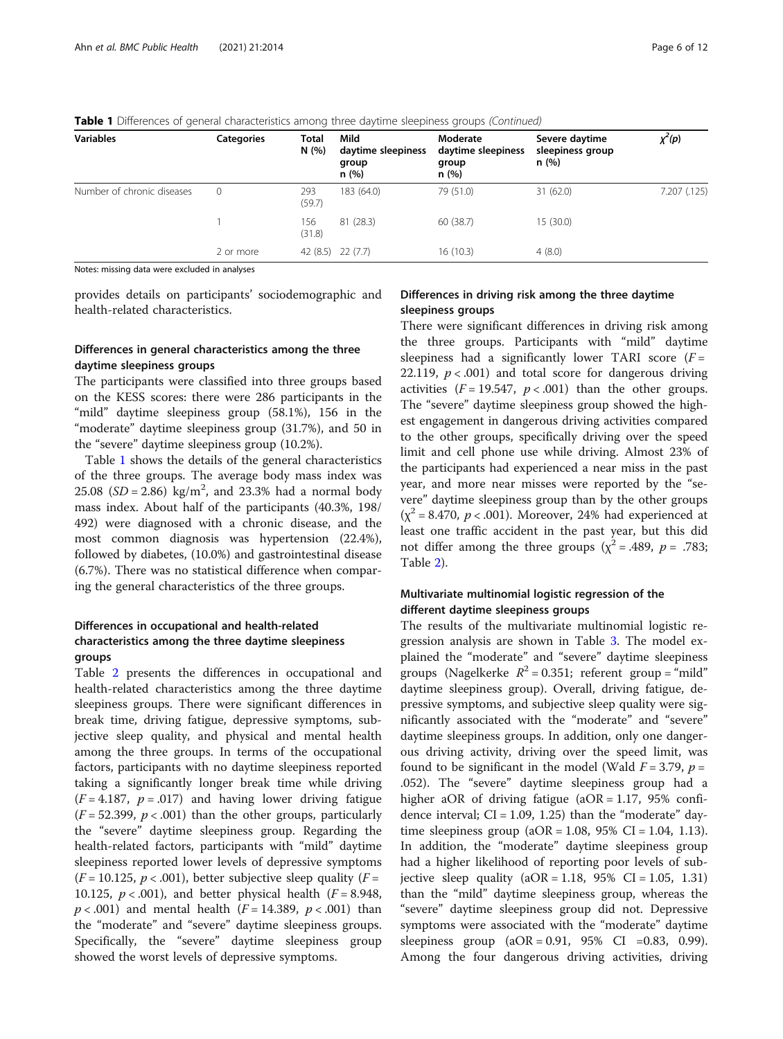| <b>Variables</b>           | <b>Categories</b> | <b>Total</b><br>N (%) | Mild<br>daytime sleepiness<br>group<br>n(%) | Moderate<br>daytime sleepiness<br>group<br>n(%) | Severe daytime<br>sleepiness group<br>n(%) | $\chi^2(p)$  |
|----------------------------|-------------------|-----------------------|---------------------------------------------|-------------------------------------------------|--------------------------------------------|--------------|
| Number of chronic diseases | 0                 | 293<br>(59.7)         | 183 (64.0)                                  | 79 (51.0)                                       | 31 (62.0)                                  | 7.207 (.125) |
|                            |                   | 156<br>(31.8)         | 81 (28.3)                                   | 60 (38.7)                                       | 15(30.0)                                   |              |
|                            | 2 or more         |                       | 42 (8.5) 22 (7.7)                           | 16(10.3)                                        | 4(8.0)                                     |              |

Table 1 Differences of general characteristics among three daytime sleepiness groups (Continued)

Notes: missing data were excluded in analyses

provides details on participants' sociodemographic and health-related characteristics.

# Differences in general characteristics among the three daytime sleepiness groups

The participants were classified into three groups based on the KESS scores: there were 286 participants in the "mild" daytime sleepiness group (58.1%), 156 in the "moderate" daytime sleepiness group (31.7%), and 50 in the "severe" daytime sleepiness group (10.2%).

Table [1](#page-4-0) shows the details of the general characteristics of the three groups. The average body mass index was 25.08 ( $SD = 2.86$ ) kg/m<sup>2</sup>, and 23.3% had a normal body mass index. About half of the participants (40.3%, 198/ 492) were diagnosed with a chronic disease, and the most common diagnosis was hypertension (22.4%), followed by diabetes, (10.0%) and gastrointestinal disease (6.7%). There was no statistical difference when comparing the general characteristics of the three groups.

# Differences in occupational and health-related characteristics among the three daytime sleepiness groups

Table [2](#page-6-0) presents the differences in occupational and health-related characteristics among the three daytime sleepiness groups. There were significant differences in break time, driving fatigue, depressive symptoms, subjective sleep quality, and physical and mental health among the three groups. In terms of the occupational factors, participants with no daytime sleepiness reported taking a significantly longer break time while driving  $(F = 4.187, p = .017)$  and having lower driving fatigue  $(F = 52.399, p < .001)$  than the other groups, particularly the "severe" daytime sleepiness group. Regarding the health-related factors, participants with "mild" daytime sleepiness reported lower levels of depressive symptoms  $(F = 10.125, p < .001)$ , better subjective sleep quality  $(F =$ 10.125,  $p < .001$ ), and better physical health ( $F = 8.948$ ,  $p < .001$ ) and mental health ( $F = 14.389$ ,  $p < .001$ ) than the "moderate" and "severe" daytime sleepiness groups. Specifically, the "severe" daytime sleepiness group showed the worst levels of depressive symptoms.

# Differences in driving risk among the three daytime sleepiness groups

There were significant differences in driving risk among the three groups. Participants with "mild" daytime sleepiness had a significantly lower TARI score  $(F =$ 22.119,  $p < .001$ ) and total score for dangerous driving activities  $(F = 19.547, p < .001)$  than the other groups. The "severe" daytime sleepiness group showed the highest engagement in dangerous driving activities compared to the other groups, specifically driving over the speed limit and cell phone use while driving. Almost 23% of the participants had experienced a near miss in the past year, and more near misses were reported by the "severe" daytime sleepiness group than by the other groups  $(x^2 = 8.470, p < .001)$ . Moreover, 24% had experienced at least one traffic accident in the past year, but this did not differ among the three groups ( $\chi^2$  = .489,  $p$  = .783; Table [2\)](#page-6-0).

# Multivariate multinomial logistic regression of the different daytime sleepiness groups

The results of the multivariate multinomial logistic regression analysis are shown in Table [3](#page-7-0). The model explained the "moderate" and "severe" daytime sleepiness groups (Nagelkerke  $R^2 = 0.351$ ; referent group = "mild" daytime sleepiness group). Overall, driving fatigue, depressive symptoms, and subjective sleep quality were significantly associated with the "moderate" and "severe" daytime sleepiness groups. In addition, only one dangerous driving activity, driving over the speed limit, was found to be significant in the model (Wald  $F = 3.79$ ,  $p =$ .052). The "severe" daytime sleepiness group had a higher aOR of driving fatigue ( $aOR = 1.17$ , 95% confidence interval;  $CI = 1.09$ , 1.25) than the "moderate" daytime sleepiness group  $(aOR = 1.08, 95\% \text{ CI} = 1.04, 1.13).$ In addition, the "moderate" daytime sleepiness group had a higher likelihood of reporting poor levels of subjective sleep quality  $(aOR = 1.18, 95\% \text{ CI} = 1.05, 1.31)$ than the "mild" daytime sleepiness group, whereas the "severe" daytime sleepiness group did not. Depressive symptoms were associated with the "moderate" daytime sleepiness group  $(aOR = 0.91, 95\% \text{ CI} = 0.83, 0.99)$ . Among the four dangerous driving activities, driving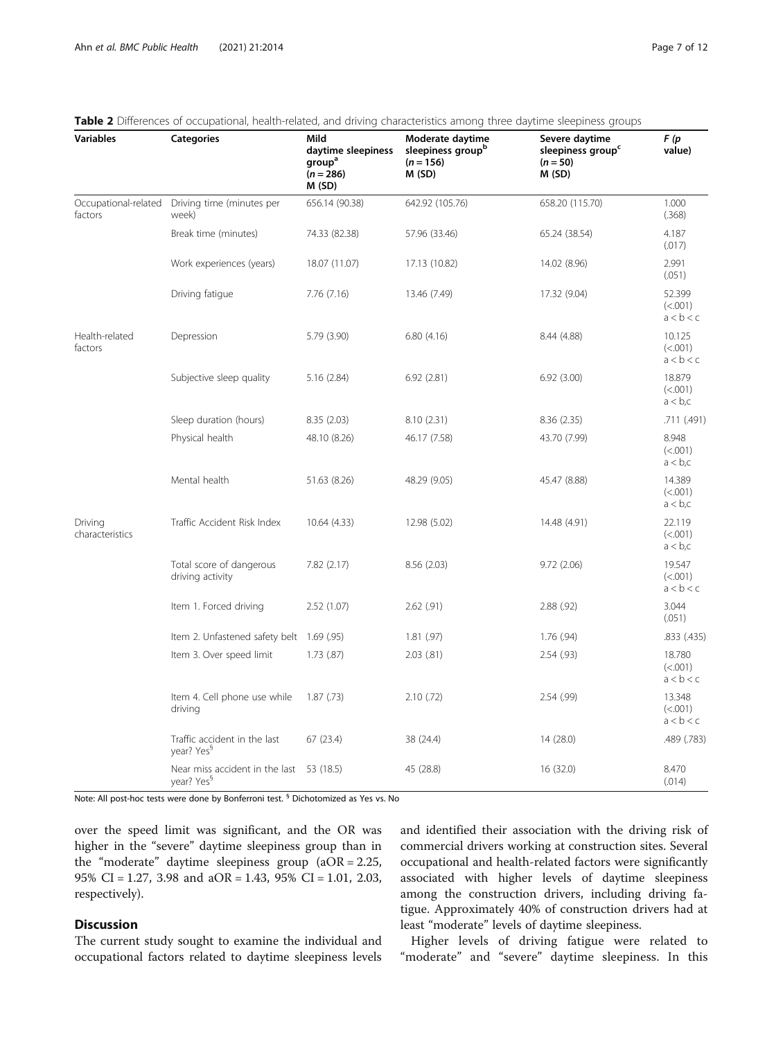| <b>Variables</b>                | <b>Categories</b>                                                  | Mild<br>daytime sleepiness<br>group <sup>a</sup><br>$(n = 286)$<br>M (SD) | Moderate daytime<br>sleepiness group <sup>b</sup><br>$(n = 156)$<br>M(SD) | Severe daytime<br>sleepiness group <sup>c</sup><br>$(n = 50)$<br>M(SD) | F (p<br>value)                     |
|---------------------------------|--------------------------------------------------------------------|---------------------------------------------------------------------------|---------------------------------------------------------------------------|------------------------------------------------------------------------|------------------------------------|
| Occupational-related<br>factors | Driving time (minutes per<br>week)                                 | 656.14 (90.38)                                                            | 642.92 (105.76)                                                           | 658.20 (115.70)                                                        | 1.000<br>(.368)                    |
|                                 | Break time (minutes)                                               | 74.33 (82.38)                                                             | 57.96 (33.46)                                                             | 65.24 (38.54)                                                          | 4.187<br>(.017)                    |
|                                 | Work experiences (years)                                           | 18.07 (11.07)                                                             | 17.13 (10.82)                                                             | 14.02 (8.96)                                                           | 2.991<br>(.051)                    |
|                                 | Driving fatigue                                                    | 7.76 (7.16)                                                               | 13.46 (7.49)                                                              | 17.32 (9.04)                                                           | 52.399<br>(<.001)<br>a < b < c     |
| Health-related<br>factors       | Depression                                                         | 5.79 (3.90)                                                               | 6.80(4.16)                                                                | 8.44 (4.88)                                                            | 10.125<br>(<.001)<br>a < b < c     |
|                                 | Subjective sleep quality                                           | 5.16(2.84)                                                                | 6.92(2.81)                                                                | 6.92(3.00)                                                             | 18.879<br>(<.001)<br>$a < b$ , $c$ |
|                                 | Sleep duration (hours)                                             | 8.35 (2.03)                                                               | 8.10(2.31)                                                                | 8.36(2.35)                                                             | .711 (.491)                        |
|                                 | Physical health                                                    | 48.10 (8.26)                                                              | 46.17 (7.58)                                                              | 43.70 (7.99)                                                           | 8.948<br>(<.001)<br>a < b, c       |
|                                 | Mental health                                                      | 51.63 (8.26)                                                              | 48.29 (9.05)                                                              | 45.47 (8.88)                                                           | 14.389<br>(<.001)<br>a < b, c      |
| Driving<br>characteristics      | Traffic Accident Risk Index                                        | 10.64 (4.33)                                                              | 12.98 (5.02)                                                              | 14.48 (4.91)                                                           | 22.119<br>(<.001)<br>a < b, c      |
|                                 | Total score of dangerous<br>driving activity                       | 7.82(2.17)                                                                | 8.56 (2.03)                                                               | 9.72(2.06)                                                             | 19.547<br>(<.001)<br>a < b < c     |
|                                 | Item 1. Forced driving                                             | 2.52(1.07)                                                                | $2.62$ $(.91)$                                                            | 2.88(.92)                                                              | 3.044<br>(.051)                    |
|                                 | Item 2. Unfastened safety belt 1.69 (.95)                          |                                                                           | 1.81(.97)                                                                 | 1.76(.94)                                                              | .833 (.435)                        |
|                                 | Item 3. Over speed limit                                           | 1.73(.87)                                                                 | 2.03(.81)                                                                 | 2.54(.93)                                                              | 18.780<br>(<.001)<br>a < b < c     |
|                                 | Item 4. Cell phone use while<br>driving                            | 1.87(0.73)                                                                | 2.10(72)                                                                  | 2.54(.99)                                                              | 13.348<br>(<.001)<br>a < b < c     |
|                                 | Traffic accident in the last<br>year? Yes <sup>§</sup>             | 67(23.4)                                                                  | 38 (24.4)                                                                 | 14 (28.0)                                                              | .489 (.783)                        |
|                                 | Near miss accident in the last 53 (18.5)<br>year? Yes <sup>9</sup> |                                                                           | 45 (28.8)                                                                 | 16 (32.0)                                                              | 8.470<br>(.014)                    |

# <span id="page-6-0"></span>Table 2 Differences of occupational, health-related, and driving characteristics among three daytime sleepiness groups

Note: All post-hoc tests were done by Bonferroni test. § Dichotomized as Yes vs. No

over the speed limit was significant, and the OR was higher in the "severe" daytime sleepiness group than in the "moderate" daytime sleepiness group (aOR = 2.25, 95% CI = 1.27, 3.98 and aOR = 1.43, 95% CI = 1.01, 2.03, respectively).

# Discussion

The current study sought to examine the individual and occupational factors related to daytime sleepiness levels and identified their association with the driving risk of commercial drivers working at construction sites. Several occupational and health-related factors were significantly associated with higher levels of daytime sleepiness among the construction drivers, including driving fatigue. Approximately 40% of construction drivers had at least "moderate" levels of daytime sleepiness.

Higher levels of driving fatigue were related to "moderate" and "severe" daytime sleepiness. In this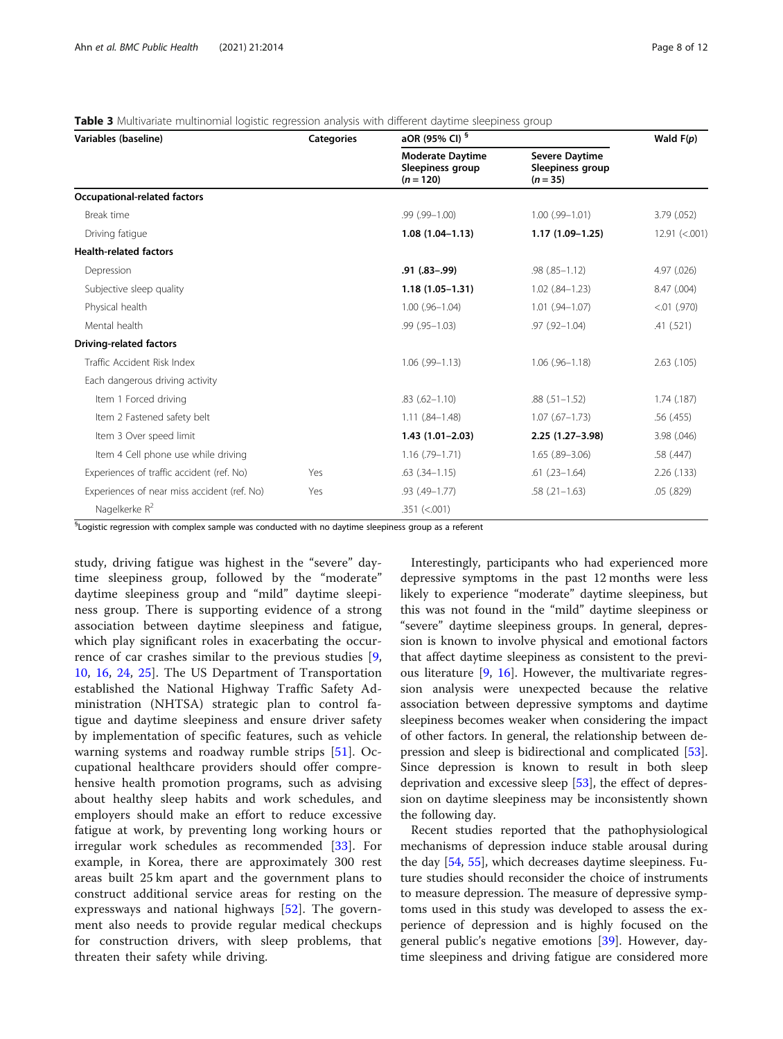<span id="page-7-0"></span>

| Table 3 Multivariate multinomial logistic regression analysis with different daytime sleepiness group |  |  |  |  |
|-------------------------------------------------------------------------------------------------------|--|--|--|--|
|                                                                                                       |  |  |  |  |

| Variables (baseline)                        | <b>Categories</b> | aOR (95% CI) <sup>§</sup>                                  | Wald $F(p)$                                             |                 |  |
|---------------------------------------------|-------------------|------------------------------------------------------------|---------------------------------------------------------|-----------------|--|
|                                             |                   | <b>Moderate Daytime</b><br>Sleepiness group<br>$(n = 120)$ | <b>Severe Daytime</b><br>Sleepiness group<br>$(n = 35)$ |                 |  |
| <b>Occupational-related factors</b>         |                   |                                                            |                                                         |                 |  |
| Break time                                  |                   | .99 (.99-1.00)                                             | $1.00$ (.99- $1.01$ )                                   | 3.79(.052)      |  |
| Driving fatique                             |                   | $1.08(1.04 - 1.13)$                                        | $1.17(1.09-1.25)$                                       | 12.91 (< 0.001) |  |
| <b>Health-related factors</b>               |                   |                                                            |                                                         |                 |  |
| Depression                                  |                   | $.91(.83-.99)$                                             | $.98(.85 - 1.12)$                                       | 4.97 (.026)     |  |
| Subjective sleep quality                    |                   | $1.18(1.05 - 1.31)$                                        | $1.02$ $(.84 - 1.23)$                                   | 8.47 (.004)     |  |
| Physical health                             |                   | $1.00$ $(.96-1.04)$                                        | $1.01$ $(.94-1.07)$                                     | $< 01$ (.970)   |  |
| Mental health                               |                   | $.99(.95 - 1.03)$                                          | $.97$ $(.92 - 1.04)$                                    | .41(.521)       |  |
| <b>Driving-related factors</b>              |                   |                                                            |                                                         |                 |  |
| Traffic Accident Risk Index                 |                   | $1.06$ (.99-1.13)                                          | $1.06$ $(.96-1.18)$                                     | 2.63 (.105)     |  |
| Each dangerous driving activity             |                   |                                                            |                                                         |                 |  |
| Item 1 Forced driving                       |                   | $.83(.62 - 1.10)$                                          | $.88(.51 - 1.52)$                                       | $1.74$ (.187)   |  |
| Item 2 Fastened safety belt                 |                   | $1.11(.84 - 1.48)$                                         | $1.07$ (.67-1.73)                                       | .56(.455)       |  |
| Item 3 Over speed limit                     |                   | $1.43(1.01 - 2.03)$                                        | 2.25 (1.27-3.98)                                        | 3.98 (.046)     |  |
| Item 4 Cell phone use while driving         |                   | $1.16$ (.79-1.71)                                          | $1.65$ $(.89-3.06)$                                     | .58 (.447)      |  |
| Experiences of traffic accident (ref. No)   | Yes               | $.63$ $(.34-1.15)$                                         | $.61$ $(.23-1.64)$                                      | 2.26(0.133)     |  |
| Experiences of near miss accident (ref. No) | Yes               | $.93(.49 - 1.77)$                                          | $.58(.21-1.63)$                                         | .05(.829)       |  |
| Nagelkerke R <sup>2</sup>                   |                   | $.351$ (<.001)                                             |                                                         |                 |  |

 ${}^{\mathbb{S}}$ Logistic regression with complex sample was conducted with no daytime sleepiness group as a referent

study, driving fatigue was highest in the "severe" daytime sleepiness group, followed by the "moderate" daytime sleepiness group and "mild" daytime sleepiness group. There is supporting evidence of a strong association between daytime sleepiness and fatigue, which play significant roles in exacerbating the occurrence of car crashes similar to the previous studies [\[9](#page-10-0), [10,](#page-10-0) [16,](#page-10-0) [24](#page-10-0), [25](#page-10-0)]. The US Department of Transportation established the National Highway Traffic Safety Administration (NHTSA) strategic plan to control fatigue and daytime sleepiness and ensure driver safety by implementation of specific features, such as vehicle warning systems and roadway rumble strips [[51\]](#page-11-0). Occupational healthcare providers should offer comprehensive health promotion programs, such as advising about healthy sleep habits and work schedules, and employers should make an effort to reduce excessive fatigue at work, by preventing long working hours or irregular work schedules as recommended [[33\]](#page-10-0). For example, in Korea, there are approximately 300 rest areas built 25 km apart and the government plans to construct additional service areas for resting on the expressways and national highways [[52\]](#page-11-0). The government also needs to provide regular medical checkups for construction drivers, with sleep problems, that threaten their safety while driving.

Interestingly, participants who had experienced more depressive symptoms in the past 12 months were less likely to experience "moderate" daytime sleepiness, but this was not found in the "mild" daytime sleepiness or "severe" daytime sleepiness groups. In general, depression is known to involve physical and emotional factors that affect daytime sleepiness as consistent to the previous literature [[9](#page-10-0), [16](#page-10-0)]. However, the multivariate regression analysis were unexpected because the relative association between depressive symptoms and daytime sleepiness becomes weaker when considering the impact of other factors. In general, the relationship between depression and sleep is bidirectional and complicated [\[53](#page-11-0)]. Since depression is known to result in both sleep deprivation and excessive sleep [\[53](#page-11-0)], the effect of depression on daytime sleepiness may be inconsistently shown the following day.

Recent studies reported that the pathophysiological mechanisms of depression induce stable arousal during the day [\[54,](#page-11-0) [55\]](#page-11-0), which decreases daytime sleepiness. Future studies should reconsider the choice of instruments to measure depression. The measure of depressive symptoms used in this study was developed to assess the experience of depression and is highly focused on the general public's negative emotions [\[39\]](#page-10-0). However, daytime sleepiness and driving fatigue are considered more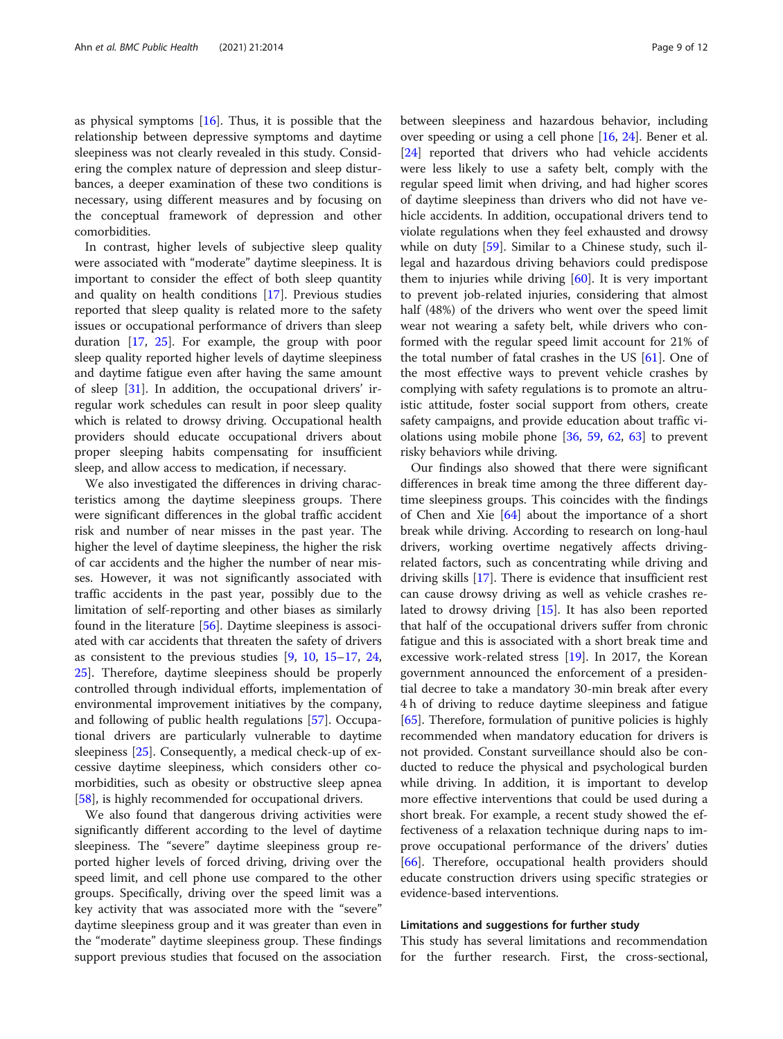as physical symptoms [[16](#page-10-0)]. Thus, it is possible that the relationship between depressive symptoms and daytime sleepiness was not clearly revealed in this study. Considering the complex nature of depression and sleep disturbances, a deeper examination of these two conditions is necessary, using different measures and by focusing on the conceptual framework of depression and other comorbidities.

In contrast, higher levels of subjective sleep quality were associated with "moderate" daytime sleepiness. It is important to consider the effect of both sleep quantity and quality on health conditions [\[17](#page-10-0)]. Previous studies reported that sleep quality is related more to the safety issues or occupational performance of drivers than sleep duration [\[17](#page-10-0), [25\]](#page-10-0). For example, the group with poor sleep quality reported higher levels of daytime sleepiness and daytime fatigue even after having the same amount of sleep [[31\]](#page-10-0). In addition, the occupational drivers' irregular work schedules can result in poor sleep quality which is related to drowsy driving. Occupational health providers should educate occupational drivers about proper sleeping habits compensating for insufficient sleep, and allow access to medication, if necessary.

We also investigated the differences in driving characteristics among the daytime sleepiness groups. There were significant differences in the global traffic accident risk and number of near misses in the past year. The higher the level of daytime sleepiness, the higher the risk of car accidents and the higher the number of near misses. However, it was not significantly associated with traffic accidents in the past year, possibly due to the limitation of self-reporting and other biases as similarly found in the literature [\[56](#page-11-0)]. Daytime sleepiness is associated with car accidents that threaten the safety of drivers as consistent to the previous studies [[9,](#page-10-0) [10](#page-10-0), [15](#page-10-0)–[17](#page-10-0), [24](#page-10-0), [25\]](#page-10-0). Therefore, daytime sleepiness should be properly controlled through individual efforts, implementation of environmental improvement initiatives by the company, and following of public health regulations [[57\]](#page-11-0). Occupational drivers are particularly vulnerable to daytime sleepiness [\[25](#page-10-0)]. Consequently, a medical check-up of excessive daytime sleepiness, which considers other comorbidities, such as obesity or obstructive sleep apnea [[58\]](#page-11-0), is highly recommended for occupational drivers.

We also found that dangerous driving activities were significantly different according to the level of daytime sleepiness. The "severe" daytime sleepiness group reported higher levels of forced driving, driving over the speed limit, and cell phone use compared to the other groups. Specifically, driving over the speed limit was a key activity that was associated more with the "severe" daytime sleepiness group and it was greater than even in the "moderate" daytime sleepiness group. These findings support previous studies that focused on the association between sleepiness and hazardous behavior, including over speeding or using a cell phone [\[16,](#page-10-0) [24](#page-10-0)]. Bener et al. [[24\]](#page-10-0) reported that drivers who had vehicle accidents were less likely to use a safety belt, comply with the regular speed limit when driving, and had higher scores of daytime sleepiness than drivers who did not have vehicle accidents. In addition, occupational drivers tend to violate regulations when they feel exhausted and drowsy while on duty [\[59\]](#page-11-0). Similar to a Chinese study, such illegal and hazardous driving behaviors could predispose them to injuries while driving [\[60](#page-11-0)]. It is very important to prevent job-related injuries, considering that almost half (48%) of the drivers who went over the speed limit wear not wearing a safety belt, while drivers who conformed with the regular speed limit account for 21% of the total number of fatal crashes in the US  $[61]$  $[61]$ . One of the most effective ways to prevent vehicle crashes by complying with safety regulations is to promote an altruistic attitude, foster social support from others, create safety campaigns, and provide education about traffic violations using mobile phone [[36,](#page-10-0) [59,](#page-11-0) [62,](#page-11-0) [63](#page-11-0)] to prevent risky behaviors while driving.

Our findings also showed that there were significant differences in break time among the three different daytime sleepiness groups. This coincides with the findings of Chen and Xie [[64\]](#page-11-0) about the importance of a short break while driving. According to research on long-haul drivers, working overtime negatively affects drivingrelated factors, such as concentrating while driving and driving skills [[17\]](#page-10-0). There is evidence that insufficient rest can cause drowsy driving as well as vehicle crashes related to drowsy driving [\[15](#page-10-0)]. It has also been reported that half of the occupational drivers suffer from chronic fatigue and this is associated with a short break time and excessive work-related stress [[19\]](#page-10-0). In 2017, the Korean government announced the enforcement of a presidential decree to take a mandatory 30-min break after every 4 h of driving to reduce daytime sleepiness and fatigue [[65\]](#page-11-0). Therefore, formulation of punitive policies is highly recommended when mandatory education for drivers is not provided. Constant surveillance should also be conducted to reduce the physical and psychological burden while driving. In addition, it is important to develop more effective interventions that could be used during a short break. For example, a recent study showed the effectiveness of a relaxation technique during naps to improve occupational performance of the drivers' duties [[66\]](#page-11-0). Therefore, occupational health providers should educate construction drivers using specific strategies or evidence-based interventions.

#### Limitations and suggestions for further study

This study has several limitations and recommendation for the further research. First, the cross-sectional,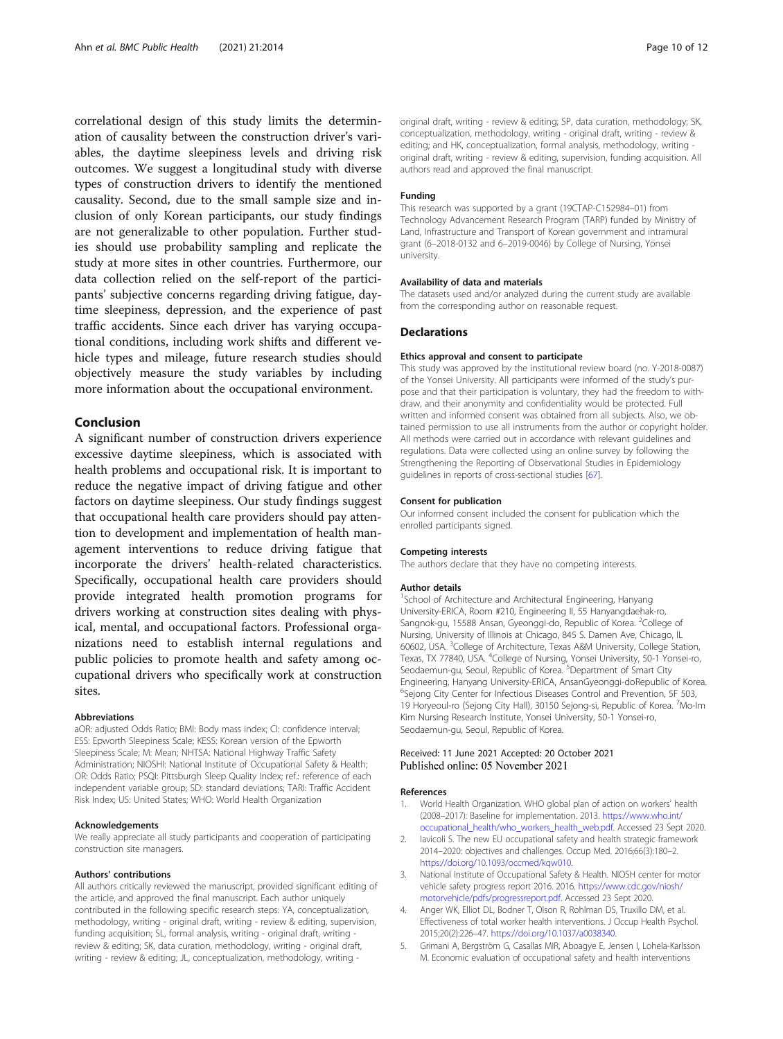<span id="page-9-0"></span>correlational design of this study limits the determination of causality between the construction driver's variables, the daytime sleepiness levels and driving risk outcomes. We suggest a longitudinal study with diverse types of construction drivers to identify the mentioned causality. Second, due to the small sample size and inclusion of only Korean participants, our study findings are not generalizable to other population. Further studies should use probability sampling and replicate the study at more sites in other countries. Furthermore, our data collection relied on the self-report of the participants' subjective concerns regarding driving fatigue, daytime sleepiness, depression, and the experience of past traffic accidents. Since each driver has varying occupational conditions, including work shifts and different vehicle types and mileage, future research studies should objectively measure the study variables by including more information about the occupational environment.

#### Conclusion

A significant number of construction drivers experience excessive daytime sleepiness, which is associated with health problems and occupational risk. It is important to reduce the negative impact of driving fatigue and other factors on daytime sleepiness. Our study findings suggest that occupational health care providers should pay attention to development and implementation of health management interventions to reduce driving fatigue that incorporate the drivers' health-related characteristics. Specifically, occupational health care providers should provide integrated health promotion programs for drivers working at construction sites dealing with physical, mental, and occupational factors. Professional organizations need to establish internal regulations and public policies to promote health and safety among occupational drivers who specifically work at construction sites.

#### Abbreviations

aOR: adjusted Odds Ratio; BMI: Body mass index; CI: confidence interval; ESS: Epworth Sleepiness Scale; KESS: Korean version of the Epworth Sleepiness Scale; M: Mean; NHTSA: National Highway Traffic Safety Administration; NIOSHI: National Institute of Occupational Safety & Health; OR: Odds Ratio; PSQI: Pittsburgh Sleep Quality Index; ref.: reference of each independent variable group; SD: standard deviations; TARI: Traffic Accident Risk Index; US: United States; WHO: World Health Organization

#### Acknowledgements

We really appreciate all study participants and cooperation of participating construction site managers.

#### Authors' contributions

All authors critically reviewed the manuscript, provided significant editing of the article, and approved the final manuscript. Each author uniquely contributed in the following specific research steps: YA, conceptualization, methodology, writing - original draft, writing - review & editing, supervision, funding acquisition; SL, formal analysis, writing - original draft, writing review & editing; SK, data curation, methodology, writing - original draft, writing - review & editing; JL, conceptualization, methodology, writing -

original draft, writing - review & editing; SP, data curation, methodology; SK, conceptualization, methodology, writing - original draft, writing - review & editing; and HK, conceptualization, formal analysis, methodology, writing original draft, writing - review & editing, supervision, funding acquisition. All authors read and approved the final manuscript.

#### Funding

This research was supported by a grant (19CTAP-C152984–01) from Technology Advancement Research Program (TARP) funded by Ministry of Land, Infrastructure and Transport of Korean government and intramural grant (6–2018-0132 and 6–2019-0046) by College of Nursing, Yonsei university.

#### Availability of data and materials

The datasets used and/or analyzed during the current study are available from the corresponding author on reasonable request.

#### **Declarations**

#### Ethics approval and consent to participate

This study was approved by the institutional review board (no. Y-2018-0087) of the Yonsei University. All participants were informed of the study's purpose and that their participation is voluntary, they had the freedom to withdraw, and their anonymity and confidentiality would be protected. Full written and informed consent was obtained from all subjects. Also, we obtained permission to use all instruments from the author or copyright holder. All methods were carried out in accordance with relevant guidelines and regulations. Data were collected using an online survey by following the Strengthening the Reporting of Observational Studies in Epidemiology guidelines in reports of cross-sectional studies [[67\]](#page-11-0).

#### Consent for publication

Our informed consent included the consent for publication which the enrolled participants signed.

#### Competing interests

The authors declare that they have no competing interests.

#### Author details

<sup>1</sup>School of Architecture and Architectural Engineering, Hanyang University-ERICA, Room #210, Engineering II, 55 Hanyangdaehak-ro, Sangnok-gu, 15588 Ansan, Gyeonggi-do, Republic of Korea. <sup>2</sup>College of Nursing, University of Illinois at Chicago, 845 S. Damen Ave, Chicago, IL 60602, USA. <sup>3</sup> College of Architecture, Texas A&M University, College Station, Texas, TX 77840, USA. <sup>4</sup>College of Nursing, Yonsei University, 50-1 Yonsei-ro, Seodaemun-gu, Seoul, Republic of Korea. <sup>5</sup>Department of Smart City Engineering, Hanyang University-ERICA, AnsanGyeonggi-doRepublic of Korea. <sup>6</sup>Sejong City Center for Infectious Diseases Control and Prevention, 5F 503 19 Horyeoul-ro (Sejong City Hall), 30150 Sejong-si, Republic of Korea. 7Mo-Im Kim Nursing Research Institute, Yonsei University, 50-1 Yonsei-ro, Seodaemun-gu, Seoul, Republic of Korea.

#### Received: 11 June 2021 Accepted: 20 October 2021 Published online: 05 November 2021

#### References

- 1. World Health Organization. WHO global plan of action on workers' health (2008–2017): Baseline for implementation. 2013. [https://www.who.int/](https://www.who.int/occupational_health/who_workers_health_web.pdf) [occupational\\_health/who\\_workers\\_health\\_web.pdf.](https://www.who.int/occupational_health/who_workers_health_web.pdf) Accessed 23 Sept 2020.
- 2. Iavicoli S. The new EU occupational safety and health strategic framework 2014–2020: objectives and challenges. Occup Med. 2016;66(3):180–2. [https://doi.org/10.1093/occmed/kqw010.](https://doi.org/10.1093/occmed/kqw010)
- 3. National Institute of Occupational Safety & Health. NIOSH center for motor vehicle safety progress report 2016. 2016. [https://www.cdc.gov/niosh/](https://www.cdc.gov/niosh/motorvehicle/pdfs/progressreport.pdf) [motorvehicle/pdfs/progressreport.pdf.](https://www.cdc.gov/niosh/motorvehicle/pdfs/progressreport.pdf) Accessed 23 Sept 2020.
- 4. Anger WK, Elliot DL, Bodner T, Olson R, Rohlman DS, Truxillo DM, et al. Effectiveness of total worker health interventions. J Occup Health Psychol. 2015;20(2):226–47. [https://doi.org/10.1037/a0038340.](https://doi.org/10.1037/a0038340)
- 5. Grimani A, Bergström G, Casallas MIR, Aboagye E, Jensen I, Lohela-Karlsson M. Economic evaluation of occupational safety and health interventions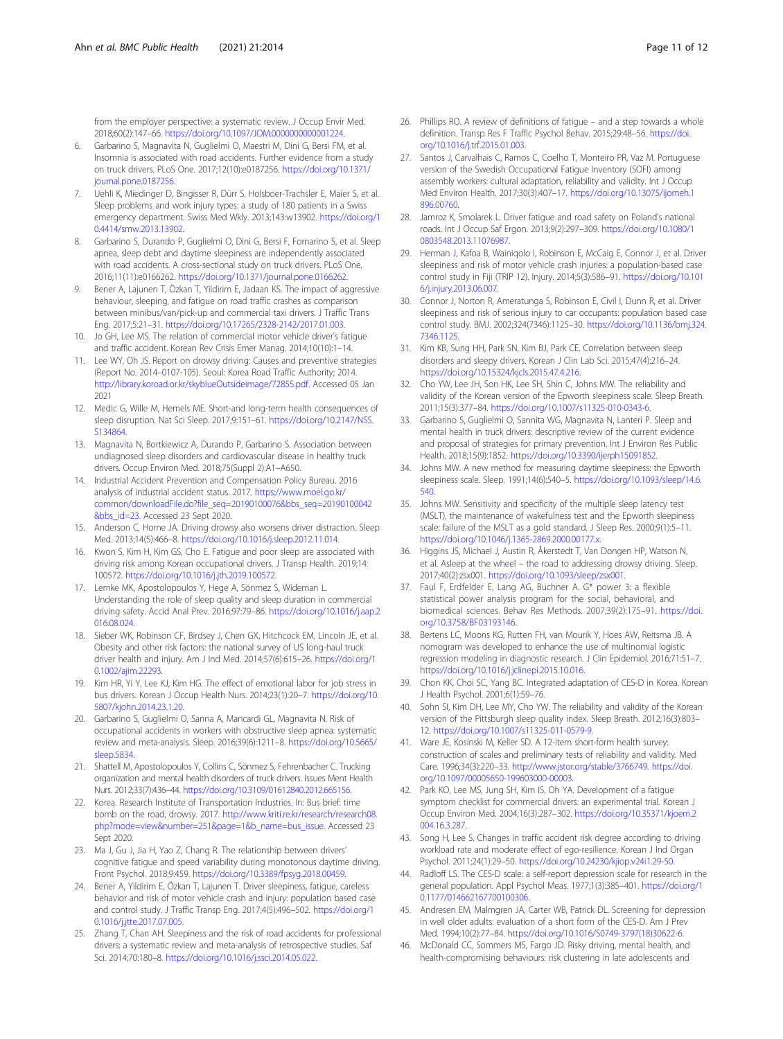<span id="page-10-0"></span>from the employer perspective: a systematic review. J Occup Envir Med. 2018;60(2):147–66. <https://doi.org/10.1097/JOM.0000000000001224>.

- 6. Garbarino S, Magnavita N, Guglielmi O, Maestri M, Dini G, Bersi FM, et al. Insomnia is associated with road accidents. Further evidence from a study on truck drivers. PLoS One. 2017;12(10):e0187256. [https://doi.org/10.1371/](https://doi.org/10.1371/journal.pone.0187256) [journal.pone.0187256](https://doi.org/10.1371/journal.pone.0187256).
- 7. Uehli K, Miedinger D, Bingisser R, Dürr S, Holsboer-Trachsler E, Maier S, et al. Sleep problems and work injury types: a study of 180 patients in a Swiss emergency department. Swiss Med Wkly. 2013;143:w13902. [https://doi.org/1](https://doi.org/10.4414/smw.2013.13902) [0.4414/smw.2013.13902.](https://doi.org/10.4414/smw.2013.13902)
- 8. Garbarino S, Durando P, Guglielmi O, Dini G, Bersi F, Fornarino S, et al. Sleep apnea, sleep debt and daytime sleepiness are independently associated with road accidents. A cross-sectional study on truck drivers. PLoS One. 2016;11(11):e0166262. [https://doi.org/10.1371/journal.pone.0166262.](https://doi.org/10.1371/journal.pone.0166262)
- Bener A, Lajunen T, Özkan T, Yildirim E, Jadaan KS. The impact of aggressive behaviour, sleeping, and fatigue on road traffic crashes as comparison between minibus/van/pick-up and commercial taxi drivers. J Traffic Trans Eng. 2017;5:21–31. <https://doi.org/10.17265/2328-2142/2017.01.003>.
- 10. Jo GH, Lee MS. The relation of commercial motor vehicle driver's fatigue and traffic accident. Korean Rev Crisis Emer Manag. 2014;10(10):1–14.
- 11. Lee WY, Oh JS. Report on drowsy driving: Causes and preventive strategies (Report No. 2014–0107-105). Seoul: Korea Road Traffic Authority; 2014. [http://library.koroad.or.kr/skyblueOutsideimage/72855.pdf.](http://library.koroad.or.kr/skyblueOutsideimage/72855.pdf) Accessed 05 Jan 2021
- 12. Medic G, Wille M, Hemels ME. Short-and long-term health consequences of sleep disruption. Nat Sci Sleep. 2017;9:151–61. [https://doi.org/10.2147/NSS.](https://doi.org/10.2147/NSS.S134864) [S134864](https://doi.org/10.2147/NSS.S134864).
- 13. Magnavita N, Bortkiewicz A, Durando P, Garbarino S. Association between undiagnosed sleep disorders and cardiovascular disease in healthy truck drivers. Occup Environ Med. 2018;75(Suppl 2):A1–A650.
- 14. Industrial Accident Prevention and Compensation Policy Bureau. 2016 analysis of industrial accident status. 2017. [https://www.moel.go.kr/](https://www.moel.go.kr/common/downloadFile.do?file_seq=20190100076&bbs_seq=20190100042&bbs_id=23) [common/downloadFile.do?file\\_seq=20190100076&bbs\\_seq=20190100042](https://www.moel.go.kr/common/downloadFile.do?file_seq=20190100076&bbs_seq=20190100042&bbs_id=23) [&bbs\\_id=23.](https://www.moel.go.kr/common/downloadFile.do?file_seq=20190100076&bbs_seq=20190100042&bbs_id=23) Accessed 23 Sept 2020.
- 15. Anderson C, Horne JA. Driving drowsy also worsens driver distraction. Sleep Med. 2013;14(5):466–8. <https://doi.org/10.1016/j.sleep.2012.11.014>.
- 16. Kwon S, Kim H, Kim GS, Cho E. Fatigue and poor sleep are associated with driving risk among Korean occupational drivers. J Transp Health. 2019;14: 100572. <https://doi.org/10.1016/j.jth.2019.100572>.
- 17. Lemke MK, Apostolopoulos Y, Hege A, Sönmez S, Wideman L. Understanding the role of sleep quality and sleep duration in commercial driving safety. Accid Anal Prev. 2016;97:79–86. [https://doi.org/10.1016/j.aap.2](https://doi.org/10.1016/j.aap.2016.08.024) [016.08.024](https://doi.org/10.1016/j.aap.2016.08.024).
- 18. Sieber WK, Robinson CF, Birdsey J, Chen GX, Hitchcock EM, Lincoln JE, et al. Obesity and other risk factors: the national survey of US long-haul truck driver health and injury. Am J Ind Med. 2014;57(6):615–26. [https://doi.org/1](https://doi.org/10.1002/ajim.22293) [0.1002/ajim.22293.](https://doi.org/10.1002/ajim.22293)
- 19. Kim HR, Yi Y, Lee KJ, Kim HG. The effect of emotional labor for job stress in bus drivers. Korean J Occup Health Nurs. 2014;23(1):20–7. [https://doi.org/10.](https://doi.org/10.5807/kjohn.2014.23.1.20) [5807/kjohn.2014.23.1.20](https://doi.org/10.5807/kjohn.2014.23.1.20).
- 20. Garbarino S, Guglielmi O, Sanna A, Mancardi GL, Magnavita N. Risk of occupational accidents in workers with obstructive sleep apnea: systematic review and meta-analysis. Sleep. 2016;39(6):1211–8. [https://doi.org/10.5665/](https://doi.org/10.5665/sleep.5834) [sleep.5834](https://doi.org/10.5665/sleep.5834).
- 21. Shattell M, Apostolopoulos Y, Collins C, Sönmez S, Fehrenbacher C. Trucking organization and mental health disorders of truck drivers. Issues Ment Health Nurs. 2012;33(7):436–44. <https://doi.org/10.3109/01612840.2012.665156>.
- 22. Korea. Research Institute of Transportation Industries. In: Bus brief: time bomb on the road, drowsy. 2017. [http://www.kriti.re.kr/research/research08.](http://www.kriti.re.kr/research/research08.php?mode=view&number=251&page=1&b_name=bus_issue) [php?mode=view&number=251&page=1&b\\_name=bus\\_issue](http://www.kriti.re.kr/research/research08.php?mode=view&number=251&page=1&b_name=bus_issue). Accessed 23 Sept 2020.
- 23. Ma J, Gu J, Jia H, Yao Z, Chang R. The relationship between drivers' cognitive fatigue and speed variability during monotonous daytime driving. Front Psychol. 2018;9:459. <https://doi.org/10.3389/fpsyg.2018.00459>.
- 24. Bener A, Yildirim E, Özkan T, Lajunen T. Driver sleepiness, fatigue, careless behavior and risk of motor vehicle crash and injury: population based case and control study. J Traffic Transp Eng. 2017;4(5):496–502. [https://doi.org/1](https://doi.org/10.1016/j.jtte.2017.07.005) [0.1016/j.jtte.2017.07.005.](https://doi.org/10.1016/j.jtte.2017.07.005)
- 25. Zhang T, Chan AH. Sleepiness and the risk of road accidents for professional drivers: a systematic review and meta-analysis of retrospective studies. Saf Sci. 2014;70:180–8. <https://doi.org/10.1016/j.ssci.2014.05.022>.
- 26. Phillips RO. A review of definitions of fatigue and a step towards a whole definition. Transp Res F Traffic Psychol Behav. 2015;29:48–56. [https://doi.](https://doi.org/10.1016/j.trf.2015.01.003) [org/10.1016/j.trf.2015.01.003](https://doi.org/10.1016/j.trf.2015.01.003).
- 27. Santos J, Carvalhais C, Ramos C, Coelho T, Monteiro PR, Vaz M. Portuguese version of the Swedish Occupational Fatigue Inventory (SOFI) among assembly workers: cultural adaptation, reliability and validity. Int J Occup Med Environ Health. 2017;30(3):407–17. [https://doi.org/10.13075/ijomeh.1](https://doi.org/10.13075/ijomeh.1896.00760) [896.00760](https://doi.org/10.13075/ijomeh.1896.00760).
- 28. Jamroz K, Smolarek L. Driver fatigue and road safety on Poland's national roads. Int J Occup Saf Ergon. 2013;9(2):297–309. [https://doi.org/10.1080/1](https://doi.org/10.1080/10803548.2013.11076987) [0803548.2013.11076987.](https://doi.org/10.1080/10803548.2013.11076987)
- 29. Herman J, Kafoa B, Wainiqolo I, Robinson E, McCaig E, Connor J, et al. Driver sleepiness and risk of motor vehicle crash injuries: a population-based case control study in Fiji (TRIP 12). Injury. 2014;5(3):586–91. [https://doi.org/10.101](https://doi.org/10.1016/j.injury.2013.06.007) [6/j.injury.2013.06.007](https://doi.org/10.1016/j.injury.2013.06.007).
- 30. Connor J, Norton R, Ameratunga S, Robinson E, Civil I, Dunn R, et al. Driver sleepiness and risk of serious injury to car occupants: population based case control study. BMJ. 2002;324(7346):1125–30. [https://doi.org/10.1136/bmj.324.](https://doi.org/10.1136/bmj.324.7346.1125) [7346.1125](https://doi.org/10.1136/bmj.324.7346.1125).
- 31. Kim KB, Sung HH, Park SN, Kim BJ, Park CE. Correlation between sleep disorders and sleepy drivers. Korean J Clin Lab Sci. 2015;47(4):216–24. [https://doi.org/10.15324/kjcls.2015.47.4.216.](https://doi.org/10.15324/kjcls.2015.47.4.216)
- 32. Cho YW, Lee JH, Son HK, Lee SH, Shin C, Johns MW. The reliability and validity of the Korean version of the Epworth sleepiness scale. Sleep Breath. 2011;15(3):377–84. <https://doi.org/10.1007/s11325-010-0343-6>.
- 33. Garbarino S, Guglielmi O, Sannita WG, Magnavita N, Lanteri P. Sleep and mental health in truck drivers: descriptive review of the current evidence and proposal of strategies for primary prevention. Int J Environ Res Public Health. 2018;15(9):1852. <https://doi.org/10.3390/ijerph15091852>.
- 34. Johns MW. A new method for measuring daytime sleepiness: the Epworth sleepiness scale. Sleep. 1991;14(6):540–5. [https://doi.org/10.1093/sleep/14.6.](https://doi.org/10.1093/sleep/14.6.540) [540.](https://doi.org/10.1093/sleep/14.6.540)
- 35. Johns MW. Sensitivity and specificity of the multiple sleep latency test (MSLT), the maintenance of wakefulness test and the Epworth sleepiness scale: failure of the MSLT as a gold standard. J Sleep Res. 2000;9(1):5–11. <https://doi.org/10.1046/j.1365-2869.2000.00177.x>.
- 36. Higgins JS, Michael J, Austin R, Åkerstedt T, Van Dongen HP, Watson N, et al. Asleep at the wheel – the road to addressing drowsy driving. Sleep. 2017;40(2):zsx001. [https://doi.org/10.1093/sleep/zsx001.](https://doi.org/10.1093/sleep/zsx001)
- 37. Faul F, Erdfelder E, Lang AG, Buchner A. G\* power 3: a flexible statistical power analysis program for the social, behavioral, and biomedical sciences. Behav Res Methods. 2007;39(2):175–91. [https://doi.](https://doi.org/10.3758/BF03193146) [org/10.3758/BF03193146](https://doi.org/10.3758/BF03193146).
- 38. Bertens LC, Moons KG, Rutten FH, van Mourik Y, Hoes AW, Reitsma JB. A nomogram was developed to enhance the use of multinomial logistic regression modeling in diagnostic research. J Clin Epidemiol. 2016;71:51–7. [https://doi.org/10.1016/j.jclinepi.2015.10.016.](https://doi.org/10.1016/j.jclinepi.2015.10.016)
- 39. Chon KK, Choi SC, Yang BC. Integrated adaptation of CES-D in Korea. Korean J Health Psychol. 2001;6(1):59–76.
- 40. Sohn SI, Kim DH, Lee MY, Cho YW. The reliability and validity of the Korean version of the Pittsburgh sleep quality index. Sleep Breath. 2012;16(3):803– 12. <https://doi.org/10.1007/s11325-011-0579-9>.
- 41. Ware JE, Kosinski M, Keller SD. A 12-item short-form health survey: construction of scales and preliminary tests of reliability and validity. Med Care. 1996;34(3):220–33. [http://www.jstor.org/stable/3766749.](http://www.jstor.org/stable/3766749) [https://doi.](https://doi.org/10.1097/00005650-199603000-00003) [org/10.1097/00005650-199603000-00003](https://doi.org/10.1097/00005650-199603000-00003).
- 42. Park KO, Lee MS, Jung SH, Kim IS, Oh YA. Development of a fatigue symptom checklist for commercial drivers: an experimental trial. Korean J Occup Environ Med. 2004;16(3):287–302. [https://doi.org/10.35371/kjoem.2](https://doi.org/10.35371/kjoem.2004.16.3.287) [004.16.3.287.](https://doi.org/10.35371/kjoem.2004.16.3.287)
- 43. Song H, Lee S. Changes in traffic accident risk degree according to driving workload rate and moderate effect of ego-resilience. Korean J Ind Organ Psychol. 2011;24(1):29–50. <https://doi.org/10.24230/kjiop.v24i1.29-50>.
- 44. Radloff LS. The CES-D scale: a self-report depression scale for research in the general population. Appl Psychol Meas. 1977;1(3):385–401. [https://doi.org/1](https://doi.org/10.1177/014662167700100306) [0.1177/014662167700100306.](https://doi.org/10.1177/014662167700100306)
- 45. Andresen EM, Malmgren JA, Carter WB, Patrick DL. Screening for depression in well older adults: evaluation of a short form of the CES-D. Am J Prev Med. 1994;10(2):77–84. [https://doi.org/10.1016/S0749-3797\(18\)30622-6](https://doi.org/10.1016/S0749-3797(18)30622-6).
- 46. McDonald CC, Sommers MS, Fargo JD. Risky driving, mental health, and health-compromising behaviours: risk clustering in late adolescents and